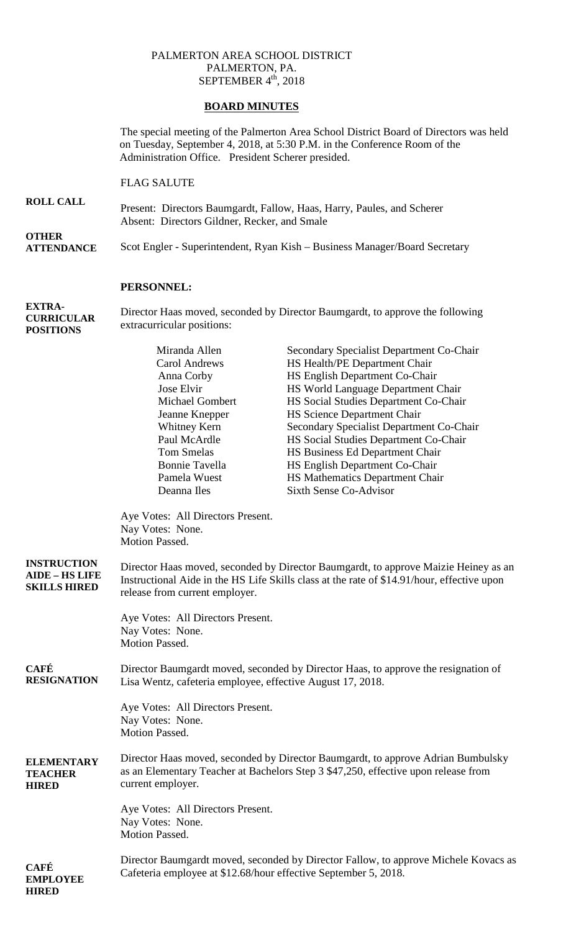## PALMERTON AREA SCHOOL DISTRICT PALMERTON, PA. SEPTEMBER  $4<sup>th</sup>$ , 2018

## **BOARD MINUTES**

The special meeting of the Palmerton Area School District Board of Directors was held on Tuesday, September 4, 2018, at 5:30 P.M. in the Conference Room of the Administration Office. President Scherer presided.

FLAG SALUTE

**ROLL CALL** Present: Directors Baumgardt, Fallow, Haas, Harry, Paules, and Scherer Absent: Directors Gildner, Recker, and Smale

**OTHER ATTENDANCE** Scot Engler - Superintendent, Ryan Kish – Business Manager/Board Secretary

## **PERSONNEL:**

**EXTRA-CURRICULAR POSITIONS**

Director Haas moved, seconded by Director Baumgardt, to approve the following extracurricular positions:

|                                                                    | Miranda Allen<br><b>Carol Andrews</b><br>Anna Corby<br>Jose Elvir<br>Michael Gombert<br>Jeanne Knepper<br>Whitney Kern<br>Paul McArdle<br><b>Tom Smelas</b><br><b>Bonnie Tavella</b><br>Pamela Wuest<br>Deanna Iles | Secondary Specialist Department Co-Chair<br>HS Health/PE Department Chair<br>HS English Department Co-Chair<br>HS World Language Department Chair<br>HS Social Studies Department Co-Chair<br>HS Science Department Chair<br>Secondary Specialist Department Co-Chair<br>HS Social Studies Department Co-Chair<br>HS Business Ed Department Chair<br>HS English Department Co-Chair<br>HS Mathematics Department Chair<br><b>Sixth Sense Co-Advisor</b> |  |
|--------------------------------------------------------------------|---------------------------------------------------------------------------------------------------------------------------------------------------------------------------------------------------------------------|---------------------------------------------------------------------------------------------------------------------------------------------------------------------------------------------------------------------------------------------------------------------------------------------------------------------------------------------------------------------------------------------------------------------------------------------------------|--|
|                                                                    | Aye Votes: All Directors Present.<br>Nay Votes: None.<br>Motion Passed.                                                                                                                                             |                                                                                                                                                                                                                                                                                                                                                                                                                                                         |  |
| <b>INSTRUCTION</b><br><b>AIDE - HS LIFE</b><br><b>SKILLS HIRED</b> | Director Haas moved, seconded by Director Baumgardt, to approve Maizie Heiney as an<br>Instructional Aide in the HS Life Skills class at the rate of \$14.91/hour, effective upon<br>release from current employer. |                                                                                                                                                                                                                                                                                                                                                                                                                                                         |  |
|                                                                    | Aye Votes: All Directors Present.<br>Nay Votes: None.<br>Motion Passed.                                                                                                                                             |                                                                                                                                                                                                                                                                                                                                                                                                                                                         |  |
| <b>CAFÉ</b><br><b>RESIGNATION</b>                                  | Director Baumgardt moved, seconded by Director Haas, to approve the resignation of<br>Lisa Wentz, cafeteria employee, effective August 17, 2018.                                                                    |                                                                                                                                                                                                                                                                                                                                                                                                                                                         |  |
|                                                                    | Aye Votes: All Directors Present.<br>Nay Votes: None.<br>Motion Passed.                                                                                                                                             |                                                                                                                                                                                                                                                                                                                                                                                                                                                         |  |
| <b>ELEMENTARY</b><br><b>TEACHER</b><br><b>HIRED</b>                | Director Haas moved, seconded by Director Baumgardt, to approve Adrian Bumbulsky<br>as an Elementary Teacher at Bachelors Step 3 \$47,250, effective upon release from<br>current employer.                         |                                                                                                                                                                                                                                                                                                                                                                                                                                                         |  |
|                                                                    | Aye Votes: All Directors Present.<br>Nay Votes: None.<br>Motion Passed.                                                                                                                                             |                                                                                                                                                                                                                                                                                                                                                                                                                                                         |  |
| <b>CAFÉ</b><br><b>EMPLOYEE</b><br><b>HIRED</b>                     | Director Baumgardt moved, seconded by Director Fallow, to approve Michele Kovacs as<br>Cafeteria employee at \$12.68/hour effective September 5, 2018.                                                              |                                                                                                                                                                                                                                                                                                                                                                                                                                                         |  |